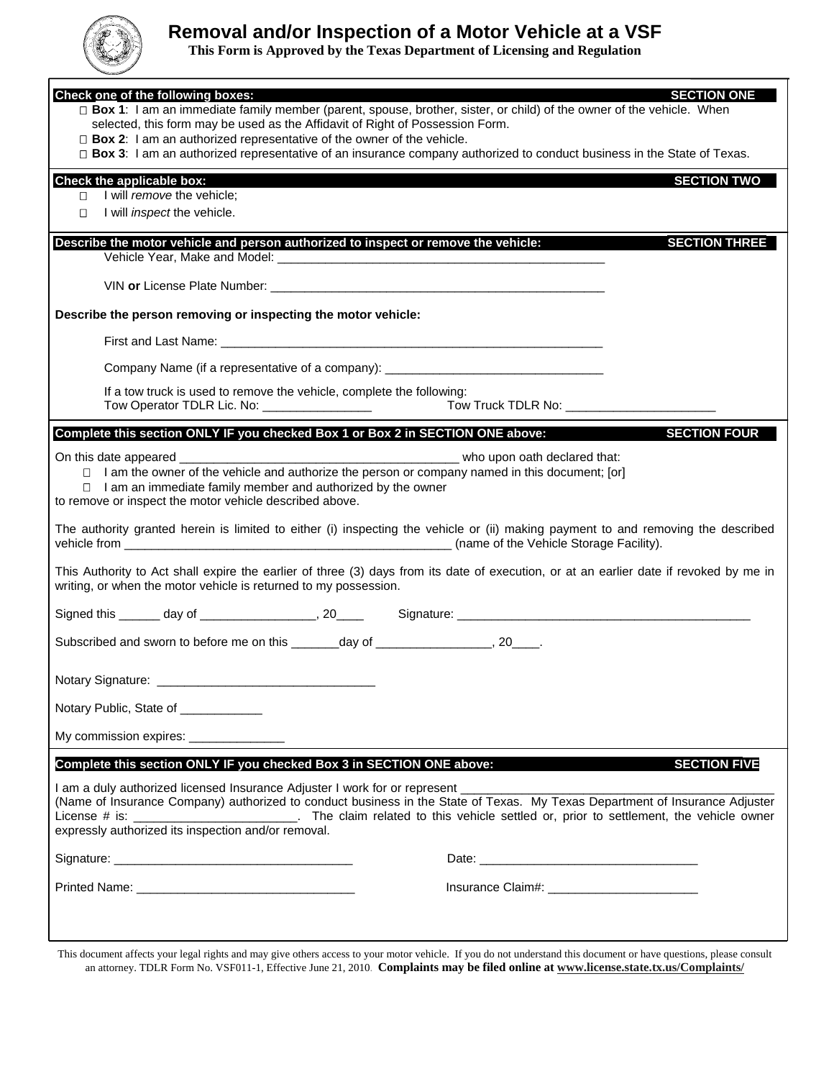

# **Removal and/or Inspection of a Motor Vehicle at a VSF**

**This Form is Approved by the Texas Department of Licensing and Regulation** 

| Check one of the following boxes:<br><b>SECTION ONE</b>                                                                                                                                                                                                       |
|---------------------------------------------------------------------------------------------------------------------------------------------------------------------------------------------------------------------------------------------------------------|
| □ Box 1: I am an immediate family member (parent, spouse, brother, sister, or child) of the owner of the vehicle. When<br>selected, this form may be used as the Affidavit of Right of Possession Form.                                                       |
| $\Box$ Box 2: I am an authorized representative of the owner of the vehicle.                                                                                                                                                                                  |
| □ Box 3: I am an authorized representative of an insurance company authorized to conduct business in the State of Texas.                                                                                                                                      |
| <b>SECTION TWO</b><br>Check the applicable box:                                                                                                                                                                                                               |
| I will remove the vehicle:<br>$\Box$<br>I will <i>inspect</i> the vehicle.<br>$\Box$                                                                                                                                                                          |
|                                                                                                                                                                                                                                                               |
| <b>SECTION THREE</b><br>Describe the motor vehicle and person authorized to inspect or remove the vehicle:                                                                                                                                                    |
|                                                                                                                                                                                                                                                               |
| Describe the person removing or inspecting the motor vehicle:                                                                                                                                                                                                 |
|                                                                                                                                                                                                                                                               |
| Company Name (if a representative of a company): _______________________________                                                                                                                                                                              |
| If a tow truck is used to remove the vehicle, complete the following:                                                                                                                                                                                         |
| Complete this section ONLY IF you checked Box 1 or Box 2 in SECTION ONE above:<br><b>SECTION FOUR</b>                                                                                                                                                         |
|                                                                                                                                                                                                                                                               |
| I am the owner of the vehicle and authorize the person or company named in this document; [or]                                                                                                                                                                |
| $\Box$ I am an immediate family member and authorized by the owner<br>to remove or inspect the motor vehicle described above.                                                                                                                                 |
| The authority granted herein is limited to either (i) inspecting the vehicle or (ii) making payment to and removing the described                                                                                                                             |
| This Authority to Act shall expire the earlier of three (3) days from its date of execution, or at an earlier date if revoked by me in<br>writing, or when the motor vehicle is returned to my possession.                                                    |
| Signed this ______ day of _________________, 20_____  Signature: ___________________________________                                                                                                                                                          |
| Subscribed and sworn to before me on this _______day of ________________, 20____.                                                                                                                                                                             |
|                                                                                                                                                                                                                                                               |
| Notary Public, State of ____________                                                                                                                                                                                                                          |
| My commission expires: ________________                                                                                                                                                                                                                       |
| Complete this section ONLY IF you checked Box 3 in SECTION ONE above:<br><b>SECTION FIVE</b>                                                                                                                                                                  |
| I am a duly authorized licensed Insurance Adjuster I work for or represent                                                                                                                                                                                    |
| (Name of Insurance Company) authorized to conduct business in the State of Texas. My Texas Department of Insurance Adjuster<br>License # is: __________________________. The claim related to this vehicle settled or, prior to settlement, the vehicle owner |
| expressly authorized its inspection and/or removal.                                                                                                                                                                                                           |
| Signature: Signature:                                                                                                                                                                                                                                         |
|                                                                                                                                                                                                                                                               |
|                                                                                                                                                                                                                                                               |
|                                                                                                                                                                                                                                                               |
|                                                                                                                                                                                                                                                               |

This document affects your legal rights and may give others access to your motor vehicle. If you do not understand this document or have questions, please consult an attorney. TDLR Form No. VSF011-1, Effective June 21, 2010. **Complaints may be filed online at www.license.state.tx.us/Complaints/**